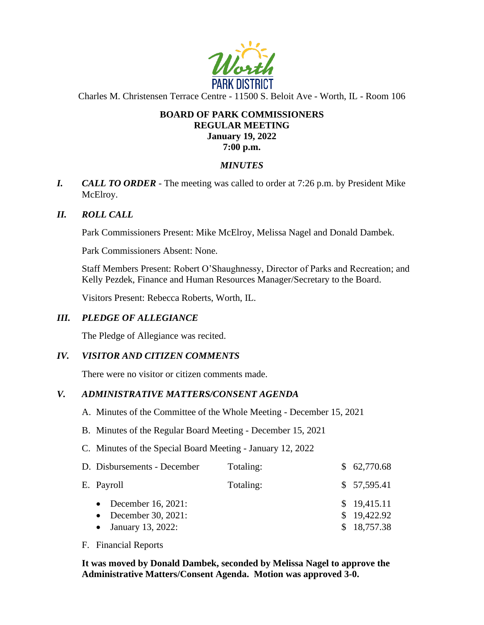

Charles M. Christensen Terrace Centre - 11500 S. Beloit Ave - Worth, IL - Room 106

## **BOARD OF PARK COMMISSIONERS REGULAR MEETING January 19, 2022 7:00 p.m.**

### *MINUTES*

*I. CALL TO ORDER* - The meeting was called to order at 7:26 p.m. by President Mike McElroy.

#### *II. ROLL CALL*

Park Commissioners Present: Mike McElroy, Melissa Nagel and Donald Dambek.

Park Commissioners Absent: None.

Staff Members Present: Robert O'Shaughnessy, Director of Parks and Recreation; and Kelly Pezdek, Finance and Human Resources Manager/Secretary to the Board.

Visitors Present: Rebecca Roberts, Worth, IL.

#### *III. PLEDGE OF ALLEGIANCE*

The Pledge of Allegiance was recited.

#### *IV. VISITOR AND CITIZEN COMMENTS*

There were no visitor or citizen comments made.

#### *V. ADMINISTRATIVE MATTERS/CONSENT AGENDA*

- A. Minutes of the Committee of the Whole Meeting December 15, 2021
- B. Minutes of the Regular Board Meeting December 15, 2021
- C. Minutes of the Special Board Meeting January 12, 2022

| D. Disbursements - December                  | Totaling: | \$62,770.68                |
|----------------------------------------------|-----------|----------------------------|
| E. Payroll                                   | Totaling: | \$57,595.41                |
| • December 16, 2021:<br>• December 30, 2021: |           | \$19,415.11<br>\$19,422.92 |
| • January 13, 2022:                          |           | \$18,757.38                |

F. Financial Reports

**It was moved by Donald Dambek, seconded by Melissa Nagel to approve the Administrative Matters/Consent Agenda. Motion was approved 3-0.**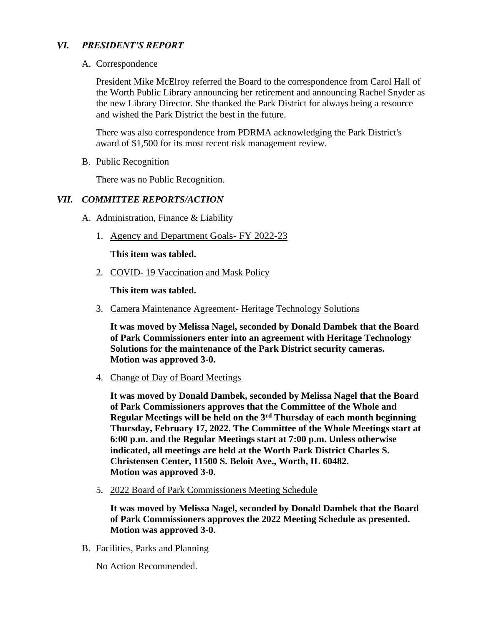## *VI. PRESIDENT'S REPORT*

A. Correspondence

President Mike McElroy referred the Board to the correspondence from Carol Hall of the Worth Public Library announcing her retirement and announcing Rachel Snyder as the new Library Director. She thanked the Park District for always being a resource and wished the Park District the best in the future.

There was also correspondence from PDRMA acknowledging the Park District's award of \$1,500 for its most recent risk management review.

B. Public Recognition

There was no Public Recognition.

#### *VII. COMMITTEE REPORTS/ACTION*

- A. Administration, Finance & Liability
	- 1. Agency and Department Goals- FY 2022-23

**This item was tabled.** 

2. COVID- 19 Vaccination and Mask Policy

**This item was tabled.** 

3. Camera Maintenance Agreement- Heritage Technology Solutions

**It was moved by Melissa Nagel, seconded by Donald Dambek that the Board of Park Commissioners enter into an agreement with Heritage Technology Solutions for the maintenance of the Park District security cameras. Motion was approved 3-0.** 

4. Change of Day of Board Meetings

**It was moved by Donald Dambek, seconded by Melissa Nagel that the Board of Park Commissioners approves that the Committee of the Whole and Regular Meetings will be held on the 3rd Thursday of each month beginning Thursday, February 17, 2022. The Committee of the Whole Meetings start at 6:00 p.m. and the Regular Meetings start at 7:00 p.m. Unless otherwise indicated, all meetings are held at the Worth Park District Charles S. Christensen Center, 11500 S. Beloit Ave., Worth, IL 60482. Motion was approved 3-0.** 

5. 2022 Board of Park Commissioners Meeting Schedule

**It was moved by Melissa Nagel, seconded by Donald Dambek that the Board of Park Commissioners approves the 2022 Meeting Schedule as presented. Motion was approved 3-0.** 

B. Facilities, Parks and Planning

No Action Recommended.